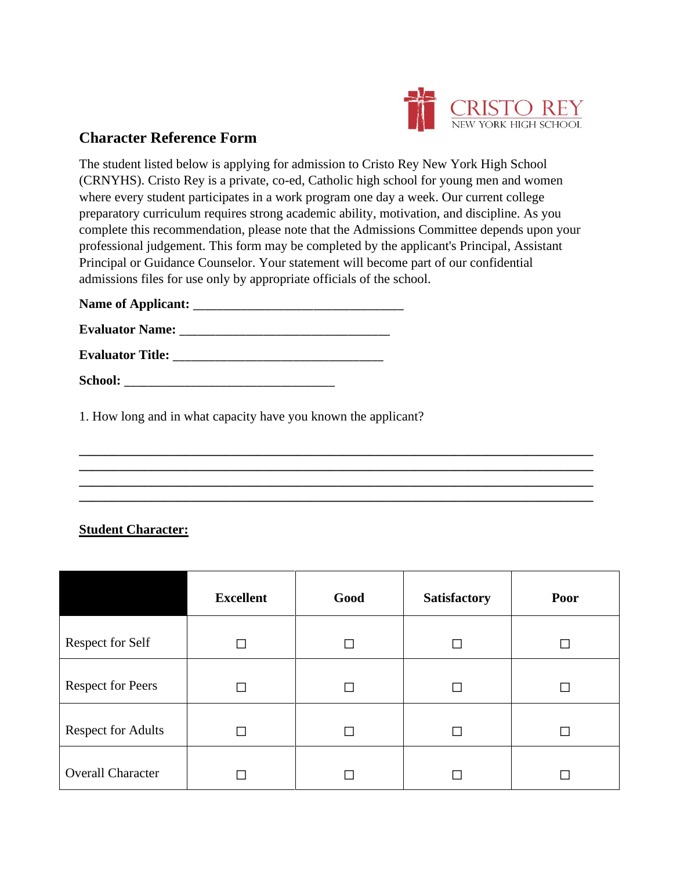

## **Character Reference Form**

The student listed below is applying for admission to Cristo Rey New York High School (CRNYHS). Cristo Rey is a private, co-ed, Catholic high school for young men and women where every student participates in a work program one day a week. Our current college preparatory curriculum requires strong academic ability, motivation, and discipline. As you complete this recommendation, please note that the Admissions Committee depends upon your professional judgement. This form may be completed by the applicant's Principal, Assistant Principal or Guidance Counselor. Your statement will become part of our confidential admissions files for use only by appropriate officials of the school.

| <b>Name of Applicant:</b> |  |
|---------------------------|--|
| <b>Evaluator Name:</b>    |  |
| <b>Evaluator Title:</b>   |  |
| <b>School:</b>            |  |

1. How long and in what capacity have you known the applicant?

## **Student Character:**

|                           | <b>Excellent</b> | Good | <b>Satisfactory</b> | Poor |
|---------------------------|------------------|------|---------------------|------|
| <b>Respect for Self</b>   |                  |      |                     |      |
| <b>Respect for Peers</b>  |                  |      |                     | П    |
| <b>Respect for Adults</b> |                  |      |                     | П    |
| <b>Overall Character</b>  |                  |      |                     |      |

**\_\_\_\_\_\_\_\_\_\_\_\_\_\_\_\_\_\_\_\_\_\_\_\_\_\_\_\_\_\_\_\_\_\_\_\_\_\_\_\_\_\_\_\_\_\_\_\_\_\_\_\_\_\_\_\_\_\_\_\_\_\_\_\_\_\_\_\_\_\_\_\_\_\_\_\_\_\_ \_\_\_\_\_\_\_\_\_\_\_\_\_\_\_\_\_\_\_\_\_\_\_\_\_\_\_\_\_\_\_\_\_\_\_\_\_\_\_\_\_\_\_\_\_\_\_\_\_\_\_\_\_\_\_\_\_\_\_\_\_\_\_\_\_\_\_\_\_\_\_\_\_\_\_\_\_\_ \_\_\_\_\_\_\_\_\_\_\_\_\_\_\_\_\_\_\_\_\_\_\_\_\_\_\_\_\_\_\_\_\_\_\_\_\_\_\_\_\_\_\_\_\_\_\_\_\_\_\_\_\_\_\_\_\_\_\_\_\_\_\_\_\_\_\_\_\_\_\_\_\_\_\_\_\_\_ \_\_\_\_\_\_\_\_\_\_\_\_\_\_\_\_\_\_\_\_\_\_\_\_\_\_\_\_\_\_\_\_\_\_\_\_\_\_\_\_\_\_\_\_\_\_\_\_\_\_\_\_\_\_\_\_\_\_\_\_\_\_\_\_\_\_\_\_\_\_\_\_\_\_\_\_\_\_**